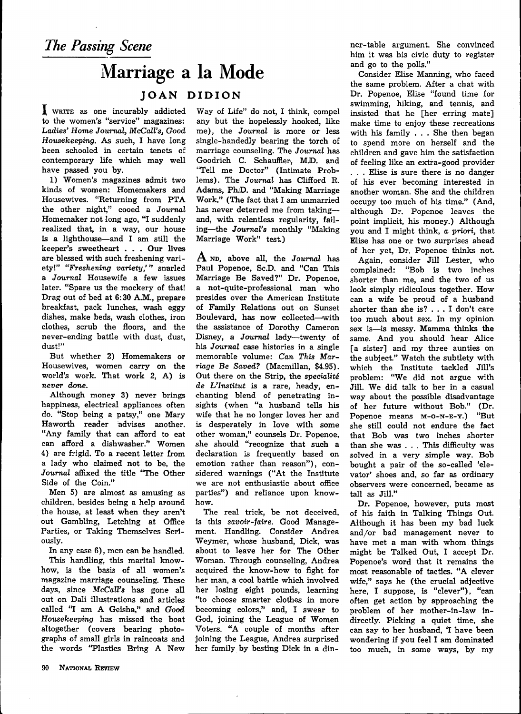## Marriage a la Mode

## **JOAN DIDION**

I WRITE as one incurably addicted to the women's "service" magazines: *Ladies' Home Journal, McCall's, Good Housekeeping.* As such, I have long been schooled in certain tenets of contemporary life which may well have passed you by.

1) Women's magazines admit two kinds of women: Homemakers and Housewives. "Returning from PTA the other night," cooed a *Journal* Homemaker not long ago, "I suddenly realized that, in a way, our house is a lighthouse—and I am still the keeper's sweetheart . . . Our lives are blessed with such freshening variety!" *"Freshening variety,'"* snarled a *Journal* Housewife a few issues later. "Spare us the mockery of that! Drag out of bed at 6:30 A.M., prepare breakfast, pack lunches, wash eggy dishes, make beds, wash clothes, iron clothes, scrub the floors, and the never-ending battle with dust, dust, dust!"

But whether 2) Homemakers or Housewives, women carry on the world's work. That work 2, A) *is never done.*

Although money 3) never brings happiness, electrical appliances often do. "Stop being a patsy," one Mary Haworth reader advises another. "Any family that can afford to eat can afford a dishwasher." Women 4) are frigid. To a recent letter from a lady who claimed not to be, the *Journal* affixed the title "The Other Side of the Coin."

Men 5) are almost as amusing as children, besides being a help around the house, at least when they aren't out Gambling, Letching at Office Parties, or Taking Themselves Seriously.

In any case 6), men can be handled. This handling, this marital knowhow, is the basis of all women's magazine marriage counseling. These days, since *McCall's* has gone all out on Dali illustrations and articles called "I am A Geisha," and *Good Housekeeping* has missed the boat altogether (covers bearing photographs of small girls in raincoats and the words "Plastics Bring A New

Way of Life" do not, I think, compel any but the hopelessly hooked, like me), the *Journal* is more or less single-handedly bearing the torch of marriage counseling. The *Journal* has Goodrich C. Schauffler, M.D. and "Tell me Doctor" (Intimate Problems). The *Journal* has Clifford R. Adams, Ph.D. and "Making Marriage Work." (The fact that I am unmarried has never deterred me from taking and, with relentless regularity, failing—the *Journal's* monthly "Making Marriage Work" test.)

A ND, above all, the Journal has Paul Popenoe, Sc.D. and "Can This Marriage Be Saved?" Dr. Popenoe, a not-quite-professional man who presides over the American Institute of Family Relations out on Sunset Boulevard, has now collected—with the assistance of Dorothy Cameron Disney, a *Journal* lady—twenty of his *Journal* case histories in a single memorable volume: Can. *This Marriage Be Saved?* (Macmillan, \$4.95). Out there on the Strip, the *speciality de L'Institut* is a rare, heady, enchanting blend of penetrating insights (when "a husband tells his wife that he no longer loves her and is desperately in love with some other woman," counsels Dr. Popenoe. she should "recognize that such a declaration is frequently based on emotion rather *than* reason"), considered warnings ("At the Institute we are not enthusiastic about office parties") and reliance upon knowhow.

The real trick, be not deceived, is this *savoir-faire.* Good Management. Handling. Consider Andrea Weymer, whose husband, Dick, was about to leave her for The Other Woman. Through counseling, Andrea acquired the know-how to flght for her man, a cool battle which involved her losing eight pounds, learning "to choose smarter clothes in more becoming colors," and, I swear to God, joining the League of Women Voters. "A couple of months after joining the League, Andrea surprised her family by besting Dick in a dinner-table argument. She convinced him it was his civic duty to register and go to the polls."

Consider Elise Manning, who faced the same problem. After a chat with Dr. Popenoe, Elise "found time for swimming, hiking, and tennis, and insisted that he [her erring mate] make time to enjoy these recreations with his family . . . She then began to spend more on herself and the children and gave him the satisfaction of feeling like an extra-good provider . . . Elise is sure there is no danger of his ever becoming interested in another woman. She and the children occupy too much of his time." (And, although Dr. Popenoe leaves the point implicit, his money.) Although you and I might think, *a priori,* that Elise has one or two surprises ahead of her yet. Dr. Popenoe thinks not.

Again, consider Jill Lester, who complained: "Bob is two inches shorter than me, and the two of us look simply ridiculous together. How can a wife be proud of a husband shorter than she is? .. . I don't care too much about sex. In my opinion sex is—is messy. Mamma thinks the same. And you should hear Alice [a sister] and my three aunties on the subject." Watch the subtlety with which the Institute tackled Jill's problem: "We did not argue with Jill. We did talk to her in a casual way about the possible disadvantage of her future without Bob." (Dr. Popenoe means M-O-N-E-Y.) "But she still could not endure the fact that Bob was two inches shorter than she was . . . This difficulty was solved in a very simple way. Bob bought a pair of the so-called 'elevator' shoes and, so far as ordinary observers were concerned, became as tall as Jill."

Dr. Popenoe, however, puts most of his faith in Talking Things Out. Although it has been my bad luck and/or bad management never to have met a man with whom things might be Talked Out, I accept Dr. Popenoe's word that it remains the most reasonable of tactics. "A clever wife," says he (the crucial adjective here, I suppose, is "clever"), "can often get action by approaching the problem of her mother-in-law indirectly. Picking a quiet time, she can say to her husband, 'I have been wondering if you feel I am dominated too much, in some ways, by my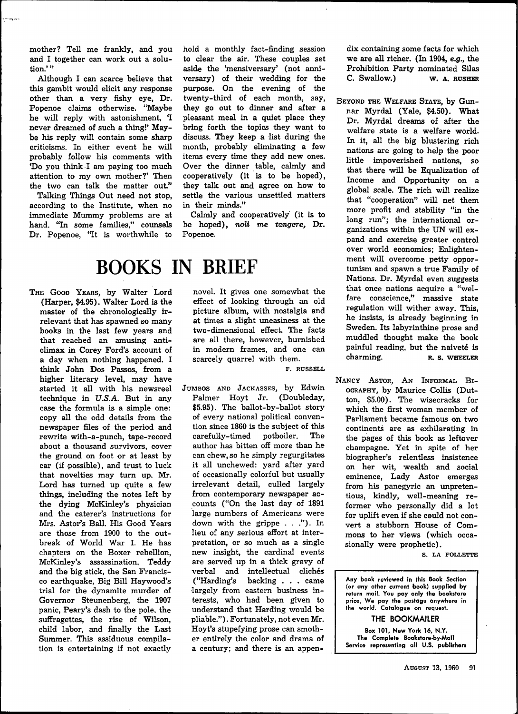mother? Tell me frankly, and you and I together can work out a solution.'"

Although I can scarce believe that this gambit would elicit any response other than a very fishy eye, Dr. Popenoe claims otherwise. "Maybe he will reply with astonishment, 'I never dreamed of such a thing!' Maybe his reply will contain some sharp criticisms. In either event he will probably follow his comments with 'Do you think I am paying too much attention to my own mother?' Then the two can talk the matter out."

Talking Things Out need not stop, according to the Institute, when no immediate Mummy problems are at hand. "In some families," counsels Dr. Popenoe, "It is worthwhile to hold a monthly fact-finding session to clear the air. These couples set aside the 'mensiversary' (not anniversary) of their wedding for the purpose. On the evening of the twenty-third of each month, say, they go out to dinner and after a pleasant meal in a quiet place they bring forth the topics they want to discuss. They keep a list during the month, probably eliminating a few items every time they add new ones. Over the dinner table, calmly and cooperatively (it is to be hoped), they talk out and agree on how to settle the various unsettled matters in their minds."

Calmly and cooperatively (it is to be hoped), *noli me tangere.* Dr. Popenoe.

## **BOOKS IN BRIEF**

THE GOOD YEARS, by Walter Lord (Harper, \$4.95). Walter Lord is the master of the chronologically irrelevant that has spawned so many books in the last few years and that reached an amusing anticlimax in Corey Ford's account of a day when nothing happened. I think John Dos Passos, from a higher literary level, may have started it all with his newsreel technique in *U.S.A.* But in any case the formula is a simple one: copy all the odd details from the newspaper files of the period and rewrite with-a-punch, tape-record about a thousand survivors, cover the ground on foot or at least by car (if possible), and trust to luck that novelties may turn up. Mr. Lord has turned up quite a few things, including the notes left by the dying McKinley's physician and the caterer's instructions for Mrs. Astor's Ball. His Good Years are those from 1900 to the outbreak of World War I. He has chapters on the Boxer rebellion, McKinley's assassination, Teddy and the big stick, the San Francisco earthquake, Big Bill Haywood's trial for the dynamite murder of Governor Steunenberg, the 1907 panic, Peary's dash to the pole, the panic, reary's dash to the pole, the suifragettes, the rise of wilson,<br>child labor, and finally the Last ching labor, and miany die Dast<br>Common This arciduous compila tion is entertaining if not exactled<br>tion is entertaining if not exactled

novel. It gives one somewhat the effect of looking through an old picture album, with nostalgia and at times a slight uneasiness at the two-dimensional efEect. The facts are all there, however, burnished in modern frames, and one can scarcely quarrel with them.

**F. RUSSELL**

JUMBOS AND JACKASSES, by Edwin Palmer Hoyt Jr. (Doubleday, \$5.95). The ballot-by-ballot story of every national political convention since 1860 is the subject of this carefully-timed potboiler. The author has bitten off more than he can chew, so he simply regurgitates it all unchewed: yard after yard of occasionally colorful but usually irrelevant detail, culled largely from contemporary newspaper accounts ("On the last day of 1891 large numbers of Americans were down with the grippe . . ."). In lieu of any serious effort at interpretation, or so much as a single new insight, the cardinal events are served up in a thick gravy of verbal and intellectual clichés ("Harding's backing . . . came largely from eastern business interests, who had been given to understand that Harding would be pliable."). Fortunately, not even Mr. Hoyt's stupefying prose can smother entirely the color and drama of a century; and there is an appendix containing some facts for which we are all richer. (In 1904, e.g., the Prohibition Party nominated Silas **C. SWcJloW.) W. A. RUSHER**

BEYOND THE WELFARE STATE, by Gimnar Myrdal (Yale, \$4.50). What Dr. Myrdal dreams of after the welfare state is a welfare world. In it, all the big blustering rich nations are going to help the poor little impoverished nations, so that there will be Equalization of Income and Opportunity on a global scale. The rich will realize that "cooperation" will net them more profit and stability "in the long run"; the international organizations within the UN will expand and exercise greater control over world economics; Enlightenment will overcome petty opportunism and spawn a true Family of Nations. Dr. Myrdal even suggests that once nations acquire a "welfare conscience," massive state regulation will wither away. This, he insists, is already beginning in Sweden. Its labyrinthine prose and muddled thought make the book painful reading, but the naiveté is charming. R. S. WHEELER

NANCY ASTOR, AN INFORMAL BI-OGRAPHY, by Maurice Collis (Dutton, \$5.00). The wisecracks for which the first woman member of Parliament became famous on two continents are as exhilarating in the pages of this book as leftover champagne. Yet in spite of her biographer's relentless insistence on her wit, wealth and social eminence. Lady Astor emerges from his panegyric an unpretentious, kindly, well-meaning reformer who personally did a lot for uplift even if she could not convert a stubborn House of Commons to her views (which occasionally were prophetic).

**S. LA FOLLETTE**

**Any book reviewed in this Book Section (or any other current book) supplied by return mail. You pay only the bookstore price. We pay the postage anywhere in the world. Catalogue on request.**

## **THE BOOKMAILER**

**Box 101, New York 16, N.Y. The Complete Bookstore-by-Mail Service representing all U.S. publishers**